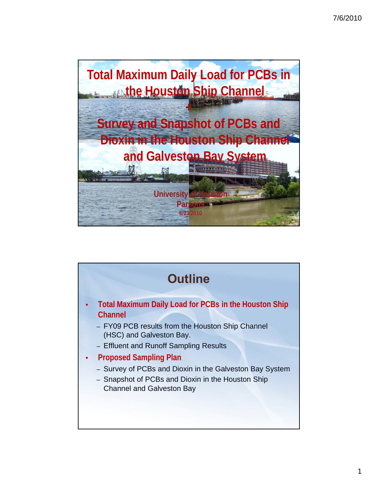

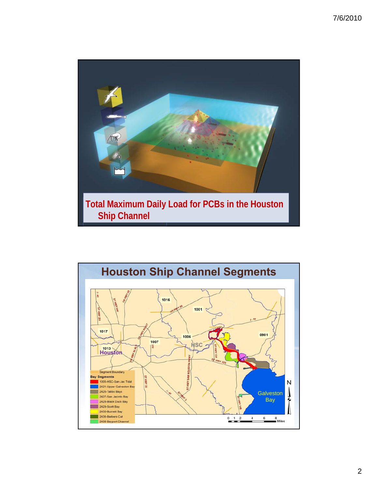

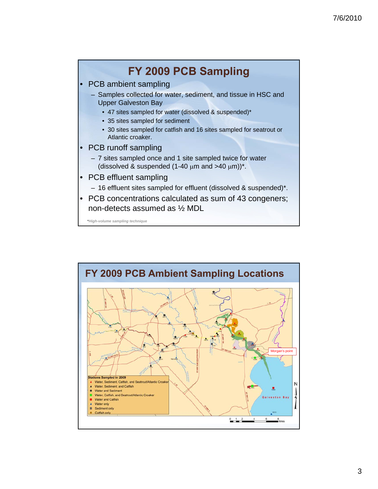

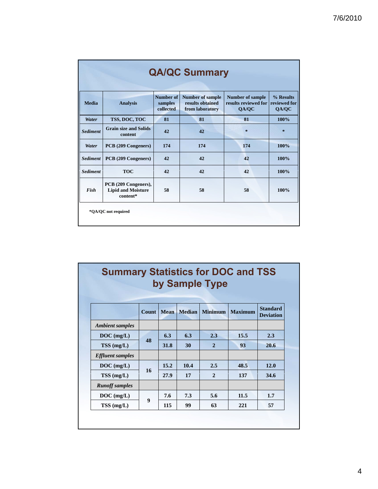|                 |                                                               |                                          | <b>QA/QC Summary</b>                                           |                                                          |                                    |
|-----------------|---------------------------------------------------------------|------------------------------------------|----------------------------------------------------------------|----------------------------------------------------------|------------------------------------|
| <b>Media</b>    | <b>Analysis</b>                                               | <b>Number of</b><br>samples<br>collected | <b>Number of sample</b><br>results obtained<br>from laboratory | <b>Number of sample</b><br>results reviewed for<br>QA/QC | % Results<br>reviewed for<br>QA/QC |
| Water           | TSS, DOC, TOC                                                 | 81                                       | 81                                                             | 81                                                       | 100%                               |
| <b>Sediment</b> | <b>Grain size and Solids</b><br>content                       | 42                                       | 42                                                             | $\star$                                                  | $\approx$                          |
| Water           | PCB (209 Congeners)                                           | 174                                      | 174                                                            | 174                                                      | 100%                               |
| <b>Sediment</b> | PCB (209 Congeners)                                           | 42                                       | 42                                                             | 42                                                       | 100%                               |
| <b>Sediment</b> | <b>TOC</b>                                                    | 42                                       | 42                                                             | 42                                                       | 100%                               |
| Fish            | PCB (209 Congeners),<br><b>Lipid and Moisture</b><br>content* | 58                                       | 58                                                             | 58                                                       | 100%                               |

## **Summary Statistics for DOC and TSS by Sample Type**

|                         | Count            | <b>Mean</b> | <b>Median</b> | <b>Minimum</b> | <b>Maximum</b> | <b>Standard</b><br><b>Deviation</b> |
|-------------------------|------------------|-------------|---------------|----------------|----------------|-------------------------------------|
| <b>Ambient samples</b>  |                  |             |               |                |                |                                     |
| $DOC$ (mg/L)            |                  | 6.3         | 6.3           | 2.3            | 15.5           | 2.3                                 |
| $TSS$ (mg/L)            | 48               | 31.8        | 30            | $\overline{2}$ | 93             | 20.6                                |
| <b>Effluent</b> samples |                  |             |               |                |                |                                     |
| $DOC$ (mg/L)            |                  | 15.2        | 10.4          | 2.5            | 48.5           | 12.0                                |
| $TSS$ (mg/L)            | 16               | 27.9        | 17            | $\overline{2}$ | 137            | 34.6                                |
| <b>Runoff</b> samples   |                  |             |               |                |                |                                     |
| $DOC$ (mg/L)            | $\boldsymbol{9}$ | 7.6         | 7.3           | 5.6            | 11.5           | 1.7                                 |
| TSS (mg/L)              |                  | 115         | 99            | 63             | 221            | 57                                  |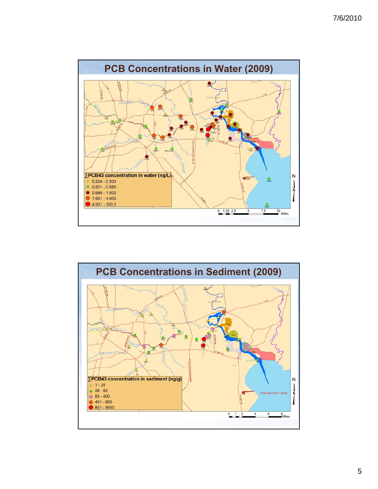

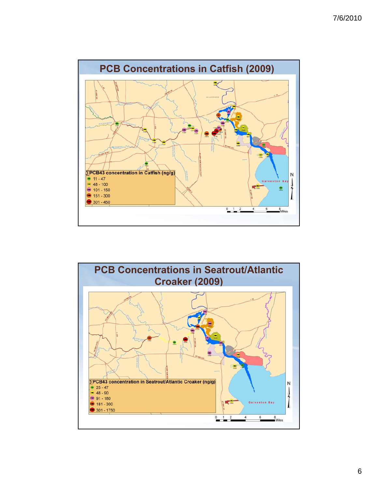

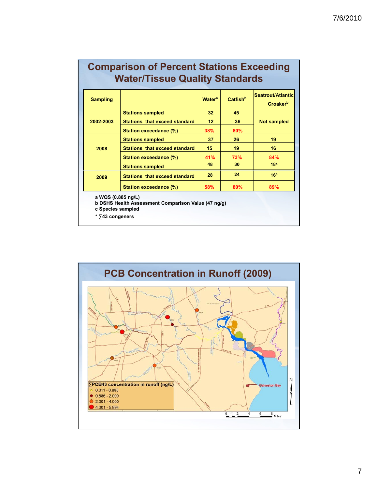| <b>Comparison of Percent Stations Exceeding</b> |
|-------------------------------------------------|
| <b>Water/Tissue Quality Standards</b>           |

| <b>Sampling</b>                                                 |                                                     | <b>Water<sup>a</sup></b> | <b>Catfish</b> <sup>b</sup> | Seatrout/Atlantic<br><b>Croaker</b> <sup>b</sup> |
|-----------------------------------------------------------------|-----------------------------------------------------|--------------------------|-----------------------------|--------------------------------------------------|
|                                                                 | <b>Stations sampled</b>                             | 32                       | 45                          |                                                  |
| 2002-2003                                                       | Stations that exceed standard                       | 12 <sup>2</sup>          | 36                          | <b>Not sampled</b>                               |
|                                                                 | <b>Station exceedance (%)</b>                       | 38%                      | 80%                         |                                                  |
|                                                                 | <b>Stations sampled</b>                             | 37                       | 26                          | 19                                               |
| 2008                                                            | <b>Stations that exceed standard</b>                | 15                       | 19                          | 16                                               |
|                                                                 | <b>Station exceedance (%)</b>                       | <b>41%</b>               | 73%                         | 84%                                              |
|                                                                 | <b>Stations sampled</b>                             | 48                       | 30                          | 18 <sup>c</sup>                                  |
| 2009                                                            | <b>Stations that exceed standard</b>                | 28                       | 24                          | 16 <sup>c</sup>                                  |
|                                                                 | Station exceedance (%)                              | 58%                      | 80%                         | 89%                                              |
| a WQS (0.885 ng/L)<br>c Species sampled<br>$*$ $>$ 43 congeners | b DSHS Health Assessment Comparison Value (47 ng/g) |                          |                             |                                                  |

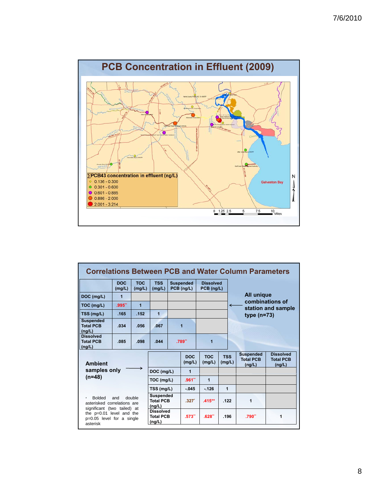

|                                                                                                  |                      |                                                |                                                |         |                                |                                |                      | <b>Correlations Between PCB and Water Column Parameters</b> |                                                |
|--------------------------------------------------------------------------------------------------|----------------------|------------------------------------------------|------------------------------------------------|---------|--------------------------------|--------------------------------|----------------------|-------------------------------------------------------------|------------------------------------------------|
|                                                                                                  | <b>DOC</b><br>(mg/L) | <b>TOC</b><br>(mg/L)                           | <b>TSS</b><br>(mg/L)                           |         | <b>Suspended</b><br>PCB (ng/L) | <b>Dissolved</b><br>PCB (ng/L) |                      |                                                             |                                                |
| DOC (mg/L)                                                                                       | $\mathbf{1}$         |                                                |                                                |         |                                |                                |                      | All unique                                                  |                                                |
| TOC (mg/L)                                                                                       | .995"                | $\mathbf{1}$                                   |                                                |         |                                |                                | ←                    |                                                             | combinations of<br>station and sample          |
| TSS (mg/L)                                                                                       | .165                 | .152                                           | 1                                              |         |                                |                                |                      | type $(n=73)$                                               |                                                |
| <b>Suspended</b><br><b>Total PCB</b><br>(nq/L)                                                   | .034                 | .056                                           | .067                                           |         | 1                              |                                |                      |                                                             |                                                |
| <b>Dissolved</b><br><b>Total PCB</b><br>(ng/L)                                                   | .085                 | .098                                           | .044                                           |         | .789"                          | 1                              |                      |                                                             |                                                |
| <b>Ambient</b>                                                                                   |                      |                                                |                                                |         | <b>DOC</b><br>(mg/L)           | <b>TOC</b><br>(mg/L)           | <b>TSS</b><br>(mg/L) | <b>Suspended</b><br><b>Total PCB</b><br>(ng/L)              | <b>Dissolved</b><br><b>Total PCB</b><br>(ng/L) |
| samples only                                                                                     |                      |                                                | DOC (mg/L)                                     |         | 1                              |                                |                      |                                                             |                                                |
| $(n=48)$                                                                                         |                      | TOC (mg/L)                                     |                                                | .961"   | 1                              |                                |                      |                                                             |                                                |
|                                                                                                  |                      | TSS (mg/L)                                     |                                                | $-045$  | $-126$                         | 1                              |                      |                                                             |                                                |
| <b>Bolded</b><br>double<br>×<br>and<br>asterisked correlations are                               |                      | <b>Suspended</b><br><b>Total PCB</b><br>(ng/L) |                                                | $.327*$ | $.415***$                      | .122                           | 1                    |                                                             |                                                |
| significant (two tailed) at<br>the p=0.01 level and the<br>p=0.05 level for a single<br>asterisk |                      |                                                | <b>Dissolved</b><br><b>Total PCB</b><br>(ng/L) |         | .573"                          | .628"                          | .196                 | .790**                                                      | 1                                              |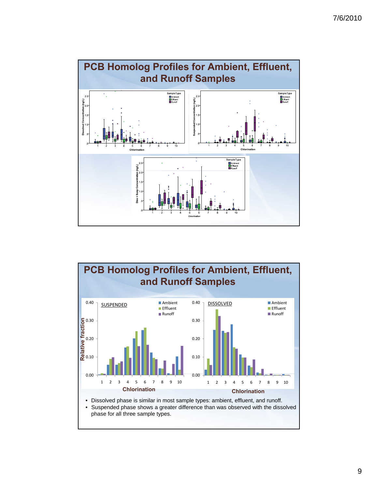

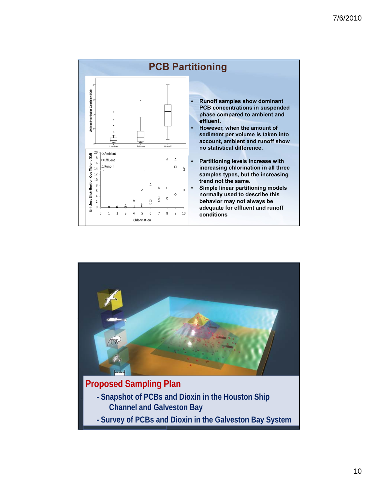

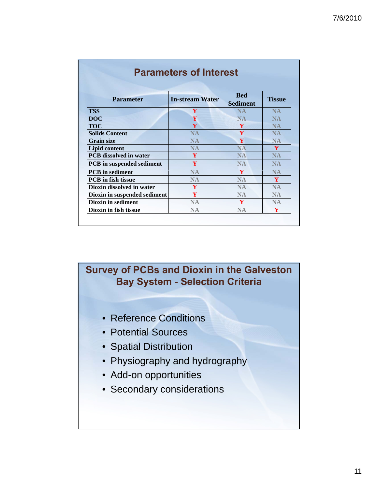| <b>Parameter</b>                 | <b>In-stream Water</b> | <b>Bed</b><br><b>Sediment</b> | <b>Tissue</b> |
|----------------------------------|------------------------|-------------------------------|---------------|
| <b>TSS</b>                       | Y                      | <b>NA</b>                     | <b>NA</b>     |
| <b>DOC</b>                       | Y                      | <b>NA</b>                     | <b>NA</b>     |
| <b>TOC</b>                       | $\mathbf{V}$           | Y                             | <b>NA</b>     |
| <b>Solids Content</b>            | NA                     | Y                             | <b>NA</b>     |
| <b>Grain size</b>                | <b>NA</b>              | Y                             | <b>NA</b>     |
| <b>Lipid content</b>             | <b>NA</b>              | <b>NA</b>                     | Y             |
| <b>PCB</b> dissolved in water    | Y                      | <b>NA</b>                     | <b>NA</b>     |
| <b>PCB</b> in suspended sediment | Y                      | <b>NA</b>                     | <b>NA</b>     |
| <b>PCB</b> in sediment           | <b>NA</b>              | V                             | <b>NA</b>     |
| <b>PCB</b> in fish tissue        | <b>NA</b>              | <b>NA</b>                     | Y             |
| Dioxin dissolved in water        | Y                      | <b>NA</b>                     | <b>NA</b>     |
| Dioxin in suspended sediment     | Y                      | <b>NA</b>                     | <b>NA</b>     |
| <b>Dioxin in sediment</b>        | <b>NA</b>              | Y                             | <b>NA</b>     |
| Dioxin in fish tissue            | <b>NA</b>              | <b>NA</b>                     | Y             |

## **Survey of PCBs and Dioxin in the Galveston Bay System - Selection Criteria**

- Reference Conditions
- Potential Sources
- Spatial Distribution
- Physiography and hydrography
- Add-on opportunities
- Secondary considerations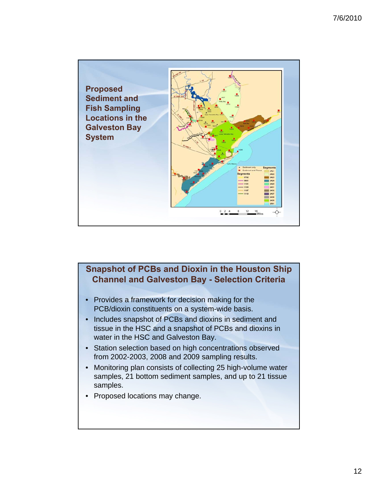

## **Snapshot of PCBs and Dioxin in the Houston Ship Channel and Galveston Bay - Selection Criteria**

- Provides a framework for decision making for the PCB/dioxin constituents on a system-wide basis.
- Includes snapshot of PCBs and dioxins in sediment and tissue in the HSC and a snapshot of PCBs and dioxins in water in the HSC and Galveston Bay.
- Station selection based on high concentrations observed from 2002-2003, 2008 and 2009 sampling results.
- Monitoring plan consists of collecting 25 high-volume water samples, 21 bottom sediment samples, and up to 21 tissue samples.
- Proposed locations may change.